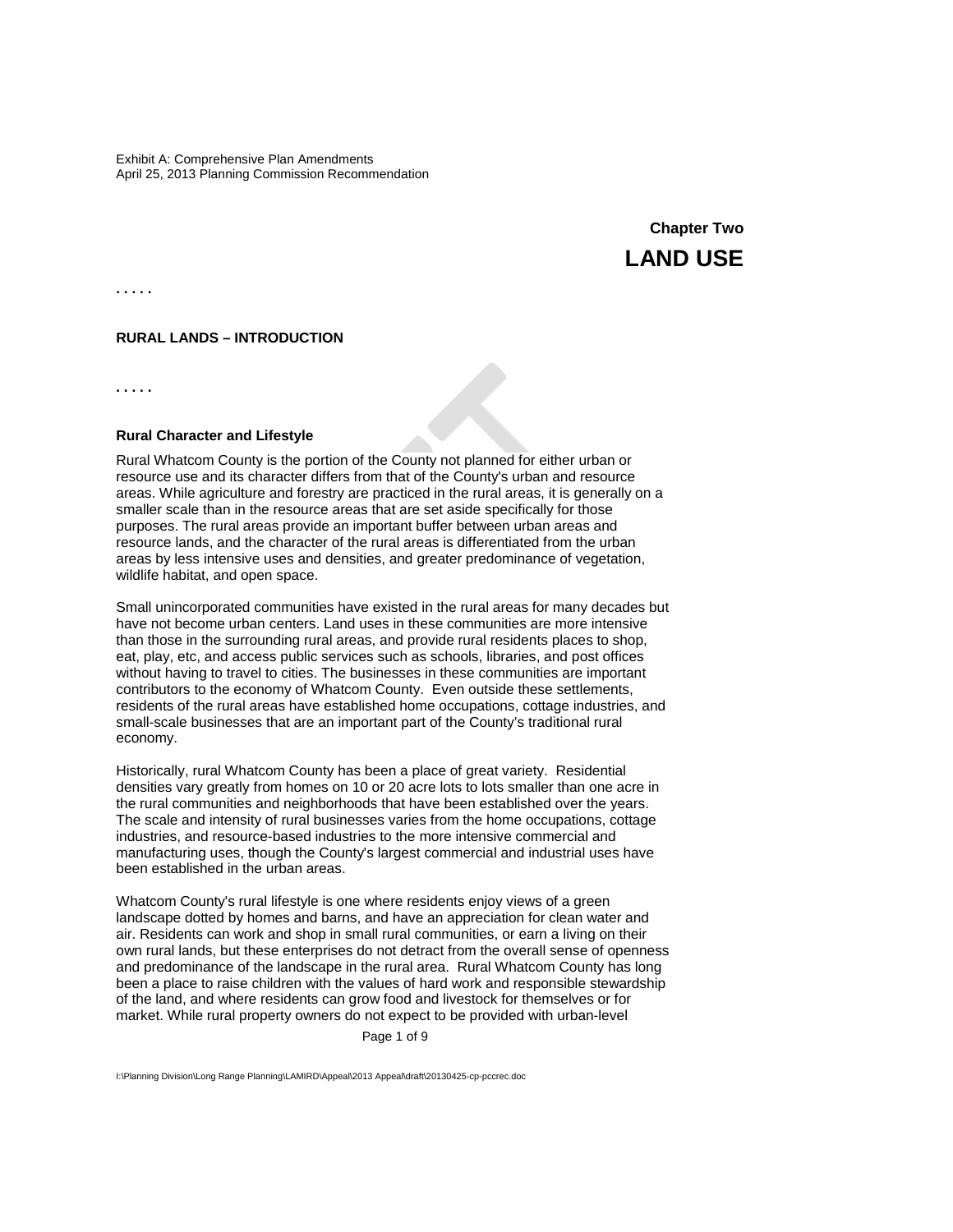# **Chapter Two LAND USE**

**. . . . .**

## **RURAL LANDS – INTRODUCTION**

**. . . . .**

# **Rural Character and Lifestyle**

Rural Whatcom County is the portion of the County not planned for either urban or resource use and its character differs from that of the County's urban and resource areas. While agriculture and forestry are practiced in the rural areas, it is generally on a smaller scale than in the resource areas that are set aside specifically for those purposes. The rural areas provide an important buffer between urban areas and resource lands, and the character of the rural areas is differentiated from the urban areas by less intensive uses and densities, and greater predominance of vegetation, wildlife habitat, and open space.

Small unincorporated communities have existed in the rural areas for many decades but have not become urban centers. Land uses in these communities are more intensive than those in the surrounding rural areas, and provide rural residents places to shop, eat, play, etc, and access public services such as schools, libraries, and post offices without having to travel to cities. The businesses in these communities are important contributors to the economy of Whatcom County. Even outside these settlements, residents of the rural areas have established home occupations, cottage industries, and small-scale businesses that are an important part of the County's traditional rural economy.

Historically, rural Whatcom County has been a place of great variety. Residential densities vary greatly from homes on 10 or 20 acre lots to lots smaller than one acre in the rural communities and neighborhoods that have been established over the years. The scale and intensity of rural businesses varies from the home occupations, cottage industries, and resource-based industries to the more intensive commercial and manufacturing uses, though the County's largest commercial and industrial uses have been established in the urban areas.

Whatcom County's rural lifestyle is one where residents enjoy views of a green landscape dotted by homes and barns, and have an appreciation for clean water and air. Residents can work and shop in small rural communities, or earn a living on their own rural lands, but these enterprises do not detract from the overall sense of openness and predominance of the landscape in the rural area. Rural Whatcom County has long been a place to raise children with the values of hard work and responsible stewardship of the land, and where residents can grow food and livestock for themselves or for market. While rural property owners do not expect to be provided with urban-level

Page 1 of 9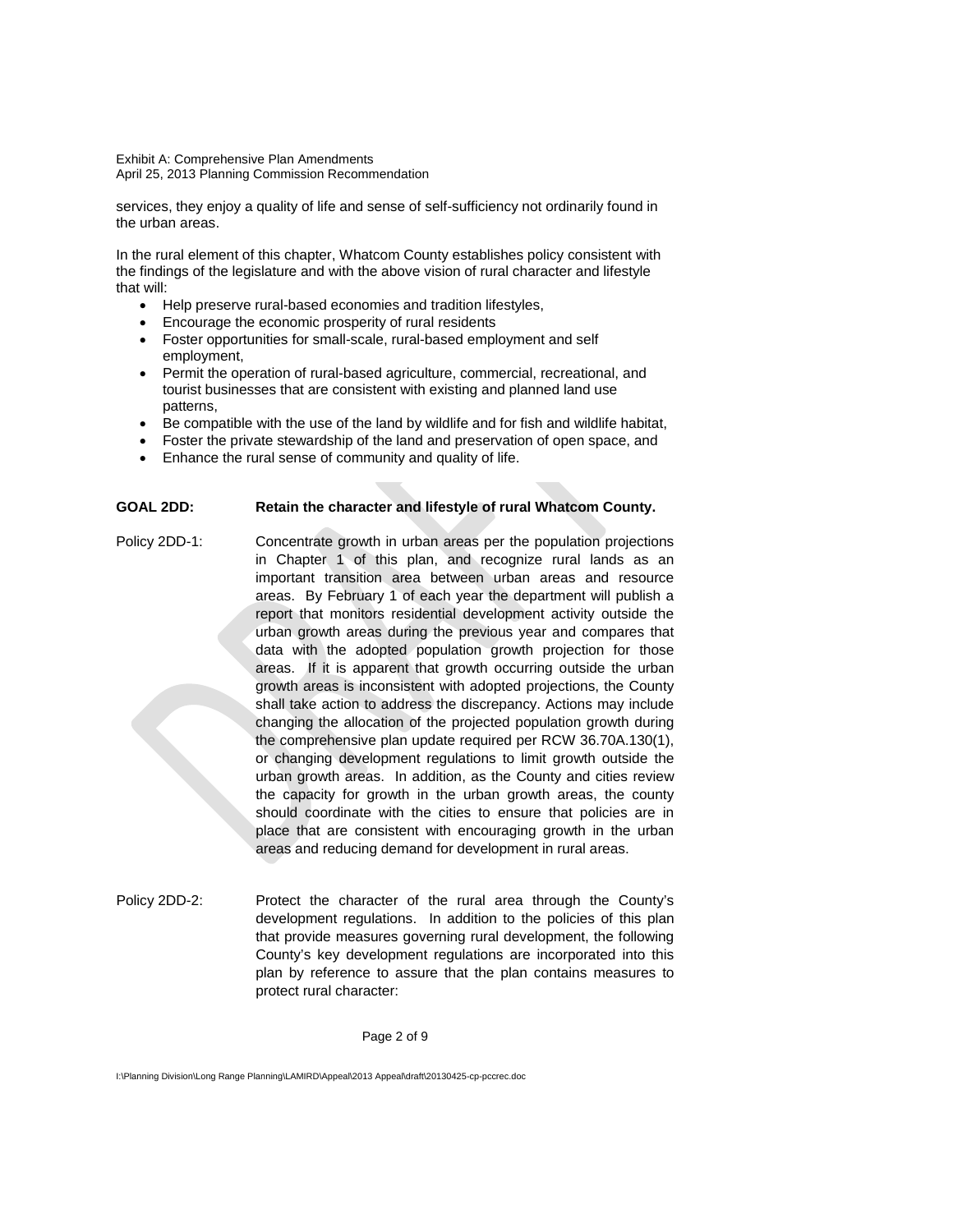services, they enjoy a quality of life and sense of self-sufficiency not ordinarily found in the urban areas.

In the rural element of this chapter, Whatcom County establishes policy consistent with the findings of the legislature and with the above vision of rural character and lifestyle that will:

- Help preserve rural-based economies and tradition lifestyles,
- Encourage the economic prosperity of rural residents
- Foster opportunities for small-scale, rural-based employment and self employment,
- Permit the operation of rural-based agriculture, commercial, recreational, and tourist businesses that are consistent with existing and planned land use patterns,
- Be compatible with the use of the land by wildlife and for fish and wildlife habitat,
- Foster the private stewardship of the land and preservation of open space, and
- Enhance the rural sense of community and quality of life.

# **GOAL 2DD: Retain the character and lifestyle of rural Whatcom County.**

- Policy 2DD-1: Concentrate growth in urban areas per the population projections in Chapter 1 of this plan, and recognize rural lands as an important transition area between urban areas and resource areas. By February 1 of each year the department will publish a report that monitors residential development activity outside the urban growth areas during the previous year and compares that data with the adopted population growth projection for those areas. If it is apparent that growth occurring outside the urban growth areas is inconsistent with adopted projections, the County shall take action to address the discrepancy. Actions may include changing the allocation of the projected population growth during the comprehensive plan update required per RCW 36.70A.130(1), or changing development regulations to limit growth outside the urban growth areas. In addition, as the County and cities review the capacity for growth in the urban growth areas, the county should coordinate with the cities to ensure that policies are in place that are consistent with encouraging growth in the urban areas and reducing demand for development in rural areas.
- Policy 2DD-2: Protect the character of the rural area through the County's development regulations. In addition to the policies of this plan that provide measures governing rural development, the following County's key development regulations are incorporated into this plan by reference to assure that the plan contains measures to protect rural character:

#### Page 2 of 9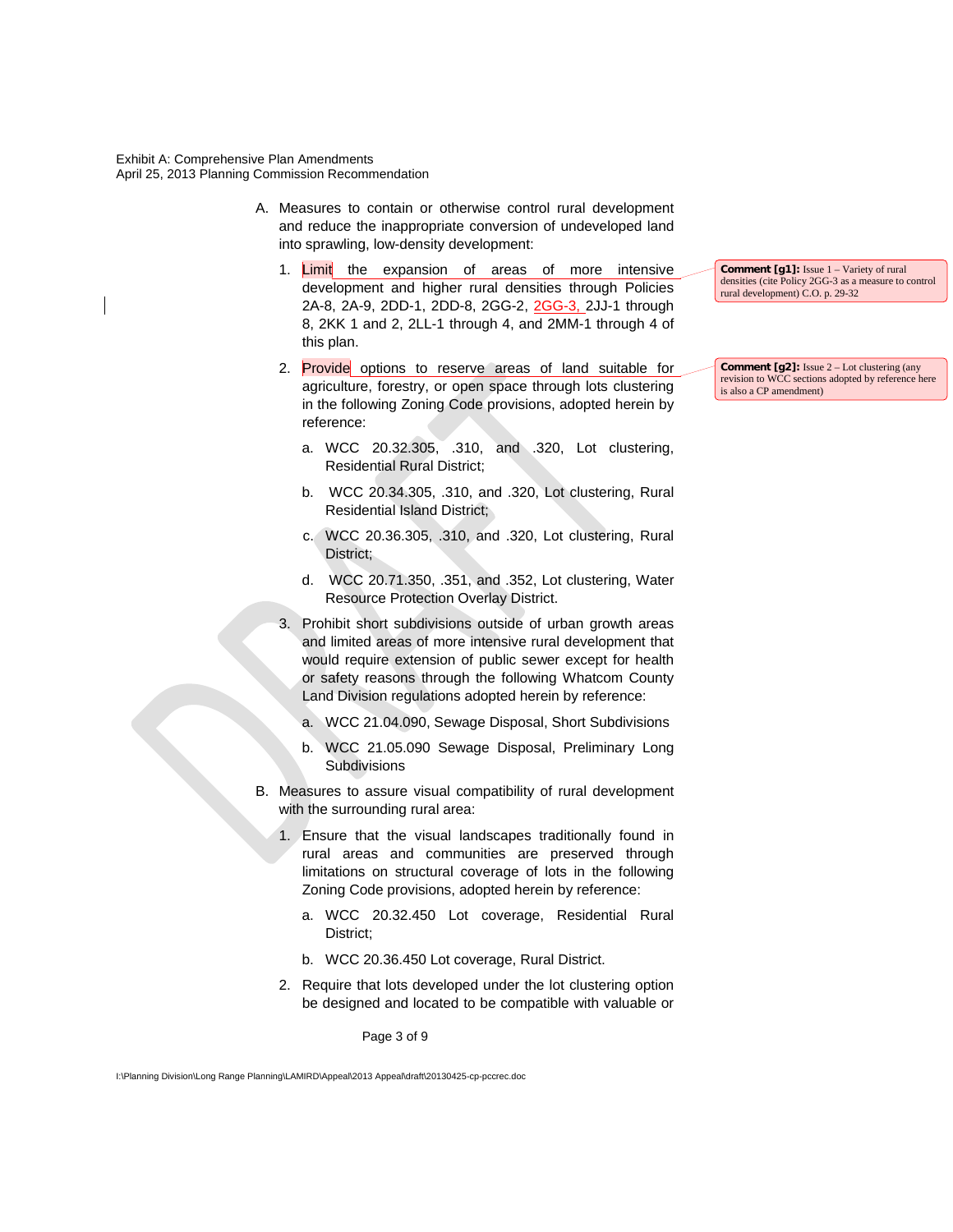- A. Measures to contain or otherwise control rural development and reduce the inappropriate conversion of undeveloped land into sprawling, low-density development:
	- 1. Limit the expansion of areas of more intensive development and higher rural densities through Policies 2A-8, 2A-9, 2DD-1, 2DD-8, 2GG-2, 2GG-3, 2JJ-1 through 8, 2KK 1 and 2, 2LL-1 through 4, and 2MM-1 through 4 of this plan.
	- 2. Provide options to reserve areas of land suitable for agriculture, forestry, or open space through lots clustering in the following Zoning Code provisions, adopted herein by reference:
		- a. WCC 20.32.305, .310, and .320, Lot clustering, Residential Rural District;
		- b. WCC 20.34.305, .310, and .320, Lot clustering, Rural Residential Island District;
		- c. WCC 20.36.305, .310, and .320, Lot clustering, Rural District;
		- d. WCC 20.71.350, .351, and .352, Lot clustering, Water Resource Protection Overlay District.
	- 3. Prohibit short subdivisions outside of urban growth areas and limited areas of more intensive rural development that would require extension of public sewer except for health or safety reasons through the following Whatcom County Land Division regulations adopted herein by reference:
		- a. WCC 21.04.090, Sewage Disposal, Short Subdivisions
		- b. WCC 21.05.090 Sewage Disposal, Preliminary Long **Subdivisions**
- B. Measures to assure visual compatibility of rural development with the surrounding rural area:
	- 1. Ensure that the visual landscapes traditionally found in rural areas and communities are preserved through limitations on structural coverage of lots in the following Zoning Code provisions, adopted herein by reference:
		- a. WCC 20.32.450 Lot coverage, Residential Rural District;
		- b. WCC 20.36.450 Lot coverage, Rural District.
	- 2. Require that lots developed under the lot clustering option be designed and located to be compatible with valuable or

Page 3 of 9

I:\Planning Division\Long Range Planning\LAMIRD\Appeal\2013 Appeal\draft\20130425-cp-pccrec.doc

**Comment [g1]:** Issue 1 – Variety of rural densities (cite Policy 2GG-3 as a measure to control rural development) C.O. p. 29-32

**Comment [g2]:** Issue 2 – Lot clustering (any revision to WCC sections adopted by reference here is also a CP amendment)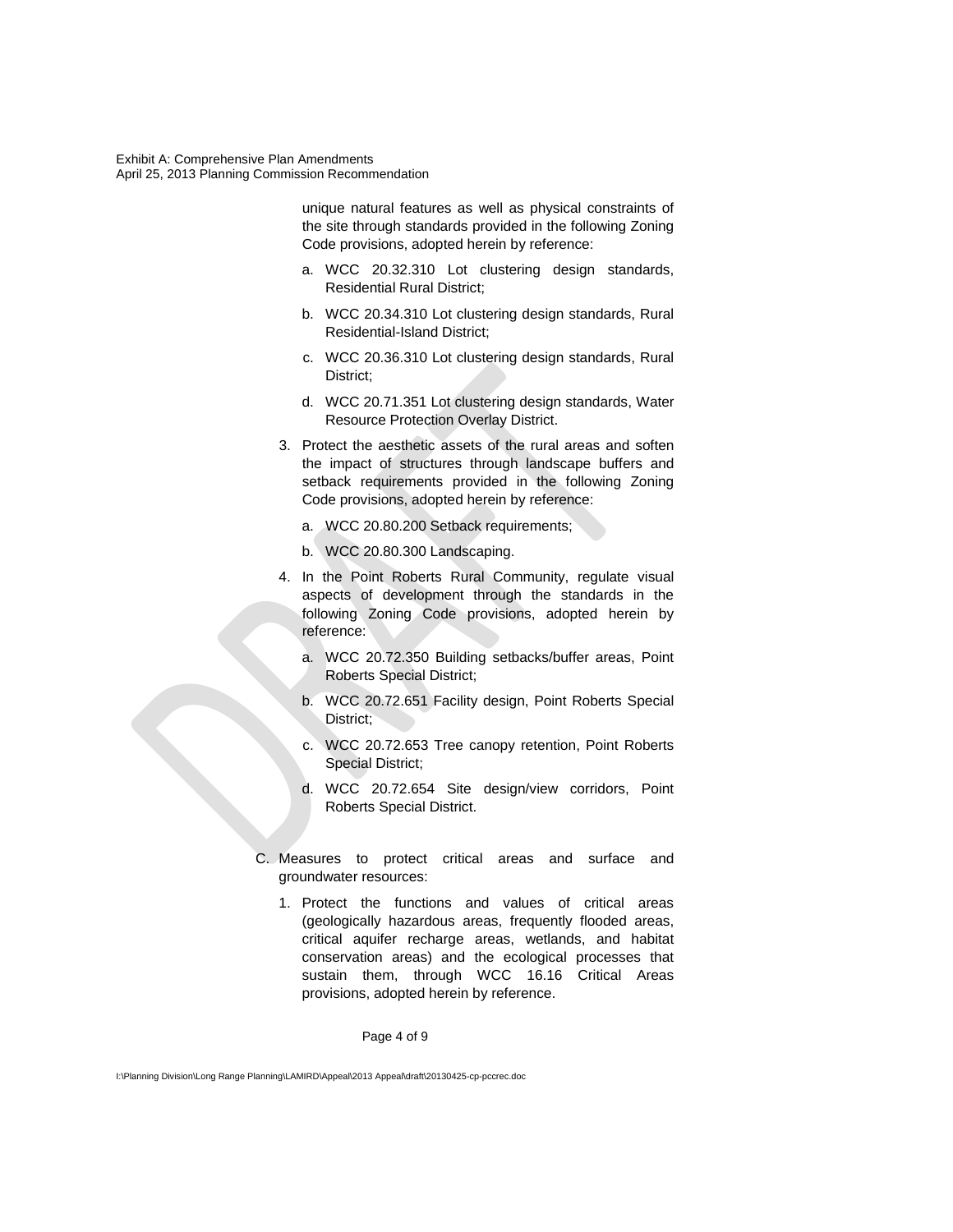> unique natural features as well as physical constraints of the site through standards provided in the following Zoning Code provisions, adopted herein by reference:

- a. WCC 20.32.310 Lot clustering design standards, Residential Rural District;
- b. WCC 20.34.310 Lot clustering design standards, Rural Residential-Island District;
- c. WCC 20.36.310 Lot clustering design standards, Rural District;
- d. WCC 20.71.351 Lot clustering design standards, Water Resource Protection Overlay District.
- 3. Protect the aesthetic assets of the rural areas and soften the impact of structures through landscape buffers and setback requirements provided in the following Zoning Code provisions, adopted herein by reference:
	- a. WCC 20.80.200 Setback requirements;
	- b. WCC 20.80.300 Landscaping.
- 4. In the Point Roberts Rural Community, regulate visual aspects of development through the standards in the following Zoning Code provisions, adopted herein by reference:
	- a. WCC 20.72.350 Building setbacks/buffer areas, Point Roberts Special District;
	- b. WCC 20.72.651 Facility design, Point Roberts Special District;
	- c. WCC 20.72.653 Tree canopy retention, Point Roberts Special District;
	- d. WCC 20.72.654 Site design/view corridors, Point Roberts Special District.
- C. Measures to protect critical areas and surface and groundwater resources:
	- 1. Protect the functions and values of critical areas (geologically hazardous areas, frequently flooded areas, critical aquifer recharge areas, wetlands, and habitat conservation areas) and the ecological processes that sustain them, through WCC 16.16 Critical Areas provisions, adopted herein by reference.

Page 4 of 9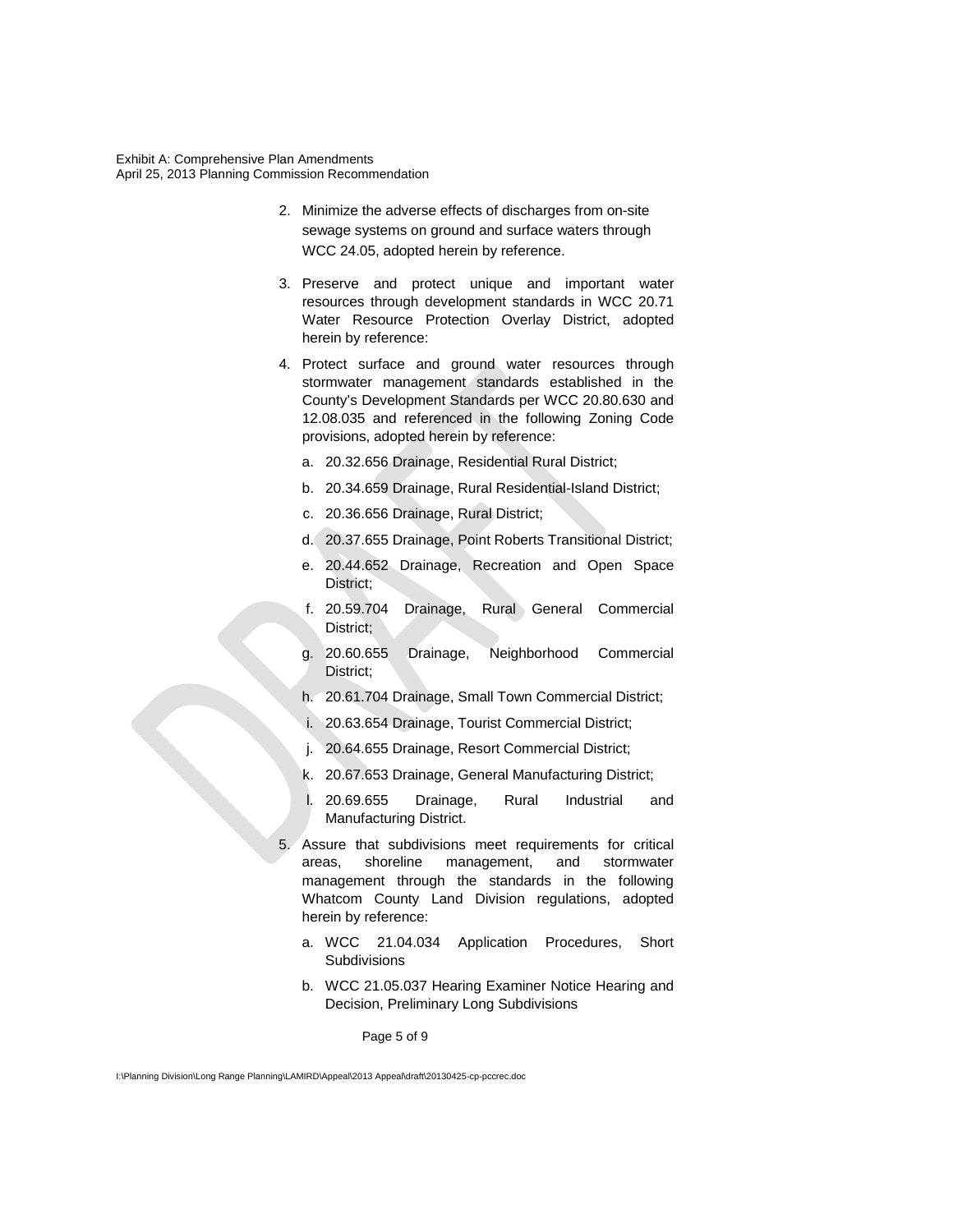- 2. Minimize the adverse effects of discharges from on-site sewage systems on ground and surface waters through WCC 24.05, adopted herein by reference.
- 3. Preserve and protect unique and important water resources through development standards in WCC 20.71 Water Resource Protection Overlay District, adopted herein by reference:
- 4. Protect surface and ground water resources through stormwater management standards established in the County's Development Standards per WCC 20.80.630 and 12.08.035 and referenced in the following Zoning Code provisions, adopted herein by reference:
	- a. 20.32.656 Drainage, Residential Rural District;
	- b. 20.34.659 Drainage, Rural Residential-Island District;
	- c. 20.36.656 Drainage, Rural District;
	- d. 20.37.655 Drainage, Point Roberts Transitional District;
	- e. 20.44.652 Drainage, Recreation and Open Space District;
	- f. 20.59.704 Drainage, Rural General Commercial District;
	- g. 20.60.655 Drainage, Neighborhood Commercial District;
	- h. 20.61.704 Drainage, Small Town Commercial District;
	- i. 20.63.654 Drainage, Tourist Commercial District;
	- j. 20.64.655 Drainage, Resort Commercial District;
	- k. 20.67.653 Drainage, General Manufacturing District;
	- l. 20.69.655 Drainage, Rural Industrial and Manufacturing District.
- 5. Assure that subdivisions meet requirements for critical areas, shoreline management, and stormwater management through the standards in the following Whatcom County Land Division regulations, adopted herein by reference:
	- a. WCC 21.04.034 Application Procedures, Short **Subdivisions**
	- b. WCC 21.05.037 Hearing Examiner Notice Hearing and Decision, Preliminary Long Subdivisions

Page 5 of 9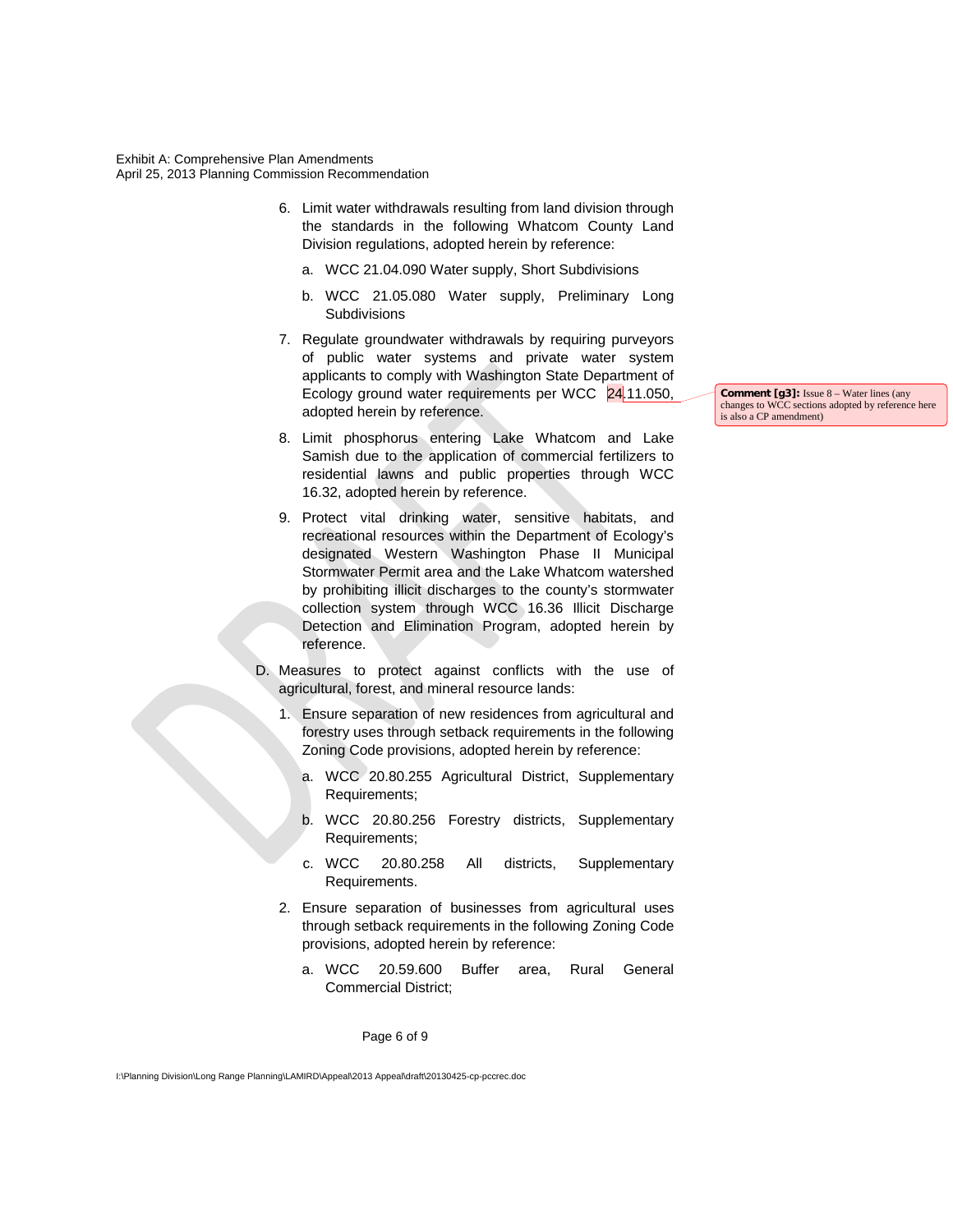- 6. Limit water withdrawals resulting from land division through the standards in the following Whatcom County Land Division regulations, adopted herein by reference:
	- a. WCC 21.04.090 Water supply, Short Subdivisions
	- b. WCC 21.05.080 Water supply, Preliminary Long **Subdivisions**
- 7. Regulate groundwater withdrawals by requiring purveyors of public water systems and private water system applicants to comply with Washington State Department of Ecology ground water requirements per WCC 24.11.050, adopted herein by reference.
- 8. Limit phosphorus entering Lake Whatcom and Lake Samish due to the application of commercial fertilizers to residential lawns and public properties through WCC 16.32, adopted herein by reference.
- 9. Protect vital drinking water, sensitive habitats, and recreational resources within the Department of Ecology's designated Western Washington Phase II Municipal Stormwater Permit area and the Lake Whatcom watershed by prohibiting illicit discharges to the county's stormwater collection system through WCC 16.36 Illicit Discharge Detection and Elimination Program, adopted herein by reference.
- D. Measures to protect against conflicts with the use of agricultural, forest, and mineral resource lands:
	- 1. Ensure separation of new residences from agricultural and forestry uses through setback requirements in the following Zoning Code provisions, adopted herein by reference:
		- a. WCC 20.80.255 Agricultural District, Supplementary Requirements;
		- b. WCC 20.80.256 Forestry districts, Supplementary Requirements;
		- c. WCC 20.80.258 All districts, Supplementary Requirements.
	- 2. Ensure separation of businesses from agricultural uses through setback requirements in the following Zoning Code provisions, adopted herein by reference:
		- a. WCC 20.59.600 Buffer area, Rural General Commercial District;

Page 6 of 9

I:\Planning Division\Long Range Planning\LAMIRD\Appeal\2013 Appeal\draft\20130425-cp-pccrec.doc

**Comment [g3]:** Issue 8 – Water lines (any changes to WCC sections adopted by reference here is also a CP amendment)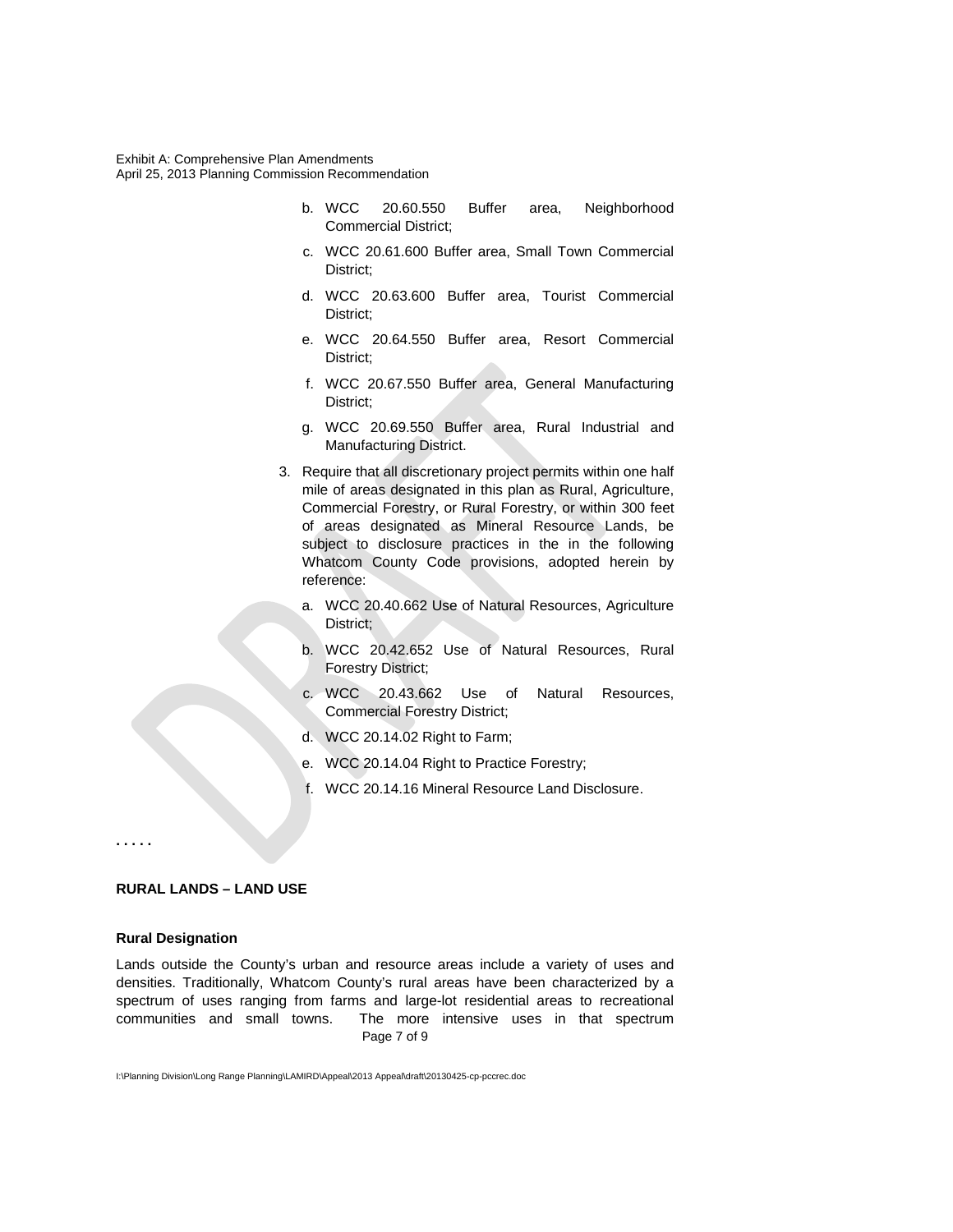- b. WCC 20.60.550 Buffer area, Neighborhood Commercial District;
- c. WCC 20.61.600 Buffer area, Small Town Commercial District;
- d. WCC 20.63.600 Buffer area, Tourist Commercial District;
- e. WCC 20.64.550 Buffer area, Resort Commercial District;
- f. WCC 20.67.550 Buffer area, General Manufacturing District;
- g. WCC 20.69.550 Buffer area, Rural Industrial and Manufacturing District.
- 3. Require that all discretionary project permits within one half mile of areas designated in this plan as Rural, Agriculture, Commercial Forestry, or Rural Forestry, or within 300 feet of areas designated as Mineral Resource Lands, be subject to disclosure practices in the in the following Whatcom County Code provisions, adopted herein by reference:
	- a. WCC 20.40.662 Use of Natural Resources, Agriculture District;
	- b. WCC 20.42.652 Use of Natural Resources, Rural Forestry District;
	- c. WCC 20.43.662 Use of Natural Resources, Commercial Forestry District;
	- d. WCC 20.14.02 Right to Farm;
	- e. WCC 20.14.04 Right to Practice Forestry;
	- f. WCC 20.14.16 Mineral Resource Land Disclosure.

**. . . . .**

# **RURAL LANDS – LAND USE**

#### **Rural Designation**

Lands outside the County's urban and resource areas include a variety of uses and densities. Traditionally, Whatcom County's rural areas have been characterized by a spectrum of uses ranging from farms and large-lot residential areas to recreational communities and small towns. The more intensive uses in that spectrum Page 7 of 9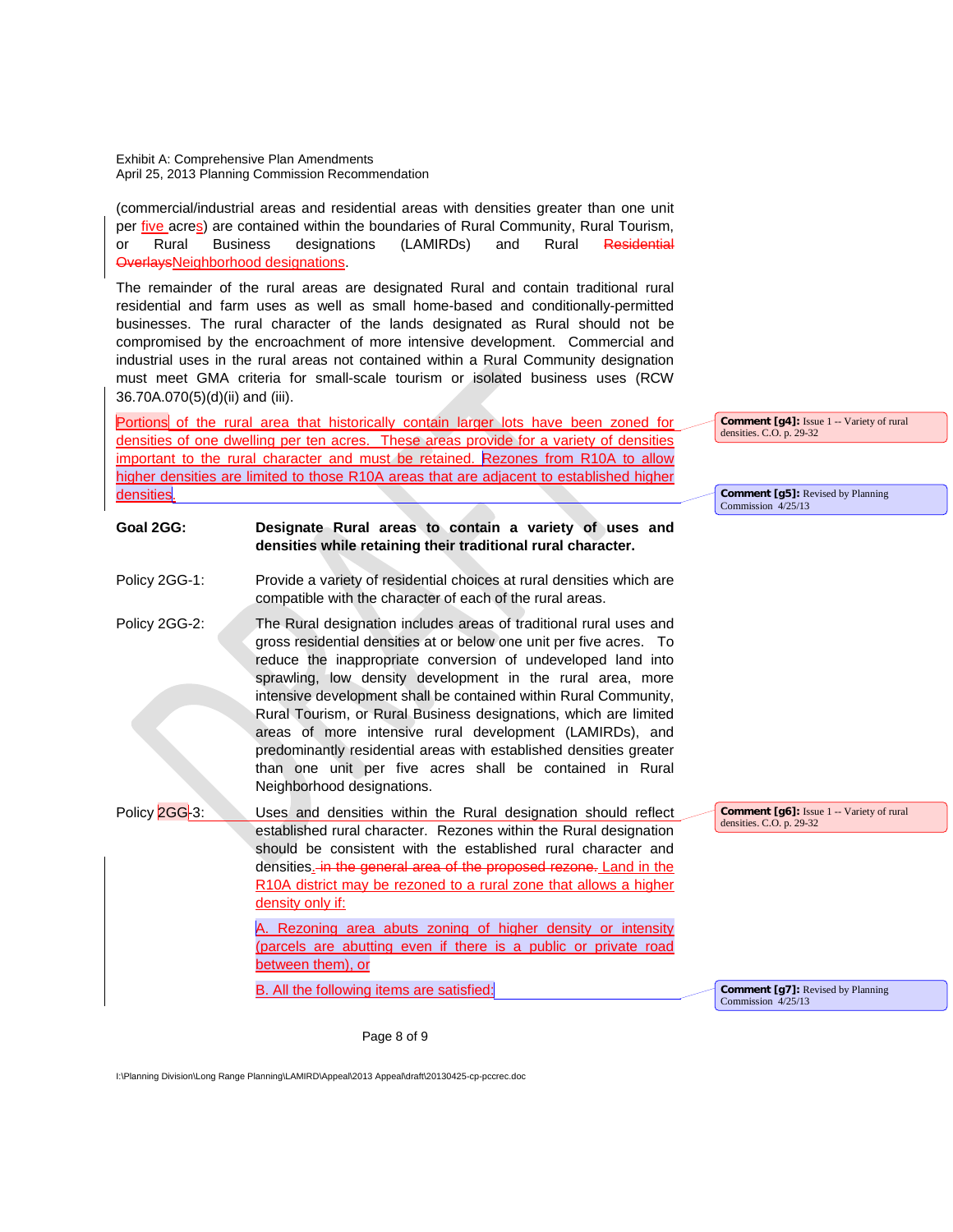(commercial/industrial areas and residential areas with densities greater than one unit per five acres) are contained within the boundaries of Rural Community, Rural Tourism, or Rural Business designations (LAMIRDs) and Rural Residential OverlaysNeighborhood designations.

The remainder of the rural areas are designated Rural and contain traditional rural residential and farm uses as well as small home-based and conditionally-permitted businesses. The rural character of the lands designated as Rural should not be compromised by the encroachment of more intensive development. Commercial and industrial uses in the rural areas not contained within a Rural Community designation must meet GMA criteria for small-scale tourism or isolated business uses (RCW 36.70A.070(5)(d)(ii) and (iii).

Portions of the rural area that historically contain larger lots have been zoned for densities of one dwelling per ten acres. These areas provide for a variety of densities important to the rural character and must be retained. Rezones from R10A to allow higher densities are limited to those R10A areas that are adjacent to established higher densities.

**Goal 2GG: Designate Rural areas to contain a variety of uses and** 

**Comment [q4]:** Issue 1 -- Variety of rural densities. C.O. p. 29-32

**Comment [g5]:** Revised by Planning Commission 4/25/13

| Policy 2GG-1: | Provide a variety of residential choices at rural densities which are<br>compatible with the character of each of the rural areas.                                                                                                                                                                                                                                                                                                                                                                                                                                                                                                          |
|---------------|---------------------------------------------------------------------------------------------------------------------------------------------------------------------------------------------------------------------------------------------------------------------------------------------------------------------------------------------------------------------------------------------------------------------------------------------------------------------------------------------------------------------------------------------------------------------------------------------------------------------------------------------|
| Policy 2GG-2: | The Rural designation includes areas of traditional rural uses and<br>gross residential densities at or below one unit per five acres. To<br>reduce the inappropriate conversion of undeveloped land into<br>sprawling, low density development in the rural area, more<br>intensive development shall be contained within Rural Community,<br>Rural Tourism, or Rural Business designations, which are limited<br>areas of more intensive rural development (LAMIRDs), and<br>predominantly residential areas with established densities greater<br>than one unit per five acres shall be contained in Rural<br>Neighborhood designations. |
| Policy 2GG-3: | Commen<br>Uses and densities within the Rural designation should reflect<br>densities. C<br>established rural character. Rezones within the Rural designation                                                                                                                                                                                                                                                                                                                                                                                                                                                                               |

**densities while retaining their traditional rural character.**

should be consistent with the established rural character and densities. in the general area of the proposed rezone. Land in the R10A district may be rezoned to a rural zone that allows a higher density only if: Rezoning area abuts zoning of higher density or intensity (parcels are abutting even if there is a public or private road between them), or B. All the following items are satisfied: **t** [g6]: Issue 1 -- Variety of rural densities. C.O. p. 29-32 **Comment [g7]:** Revised by Planning Commission 4/25/13

Page 8 of 9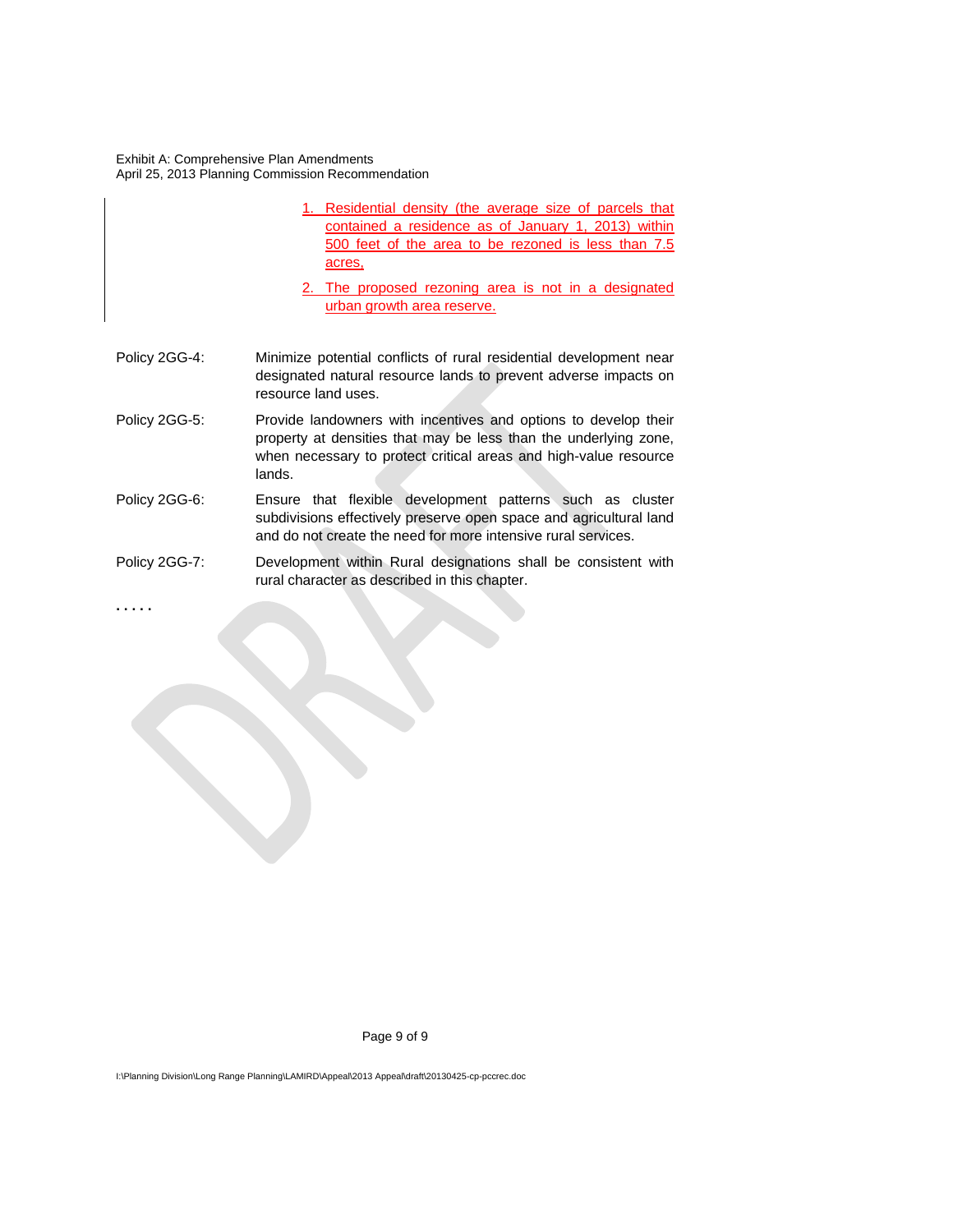- 1. Residential density (the average size of parcels that contained a residence as of January 1, 2013) within 500 feet of the area to be rezoned is less than 7.5 acres,
- 2. The proposed rezoning area is not in a designated urban growth area reserve.
- Policy 2GG-4: Minimize potential conflicts of rural residential development near designated natural resource lands to prevent adverse impacts on resource land uses.
- Policy 2GG-5: Provide landowners with incentives and options to develop their property at densities that may be less than the underlying zone, when necessary to protect critical areas and high-value resource lands.
- Policy 2GG-6: Ensure that flexible development patterns such as cluster subdivisions effectively preserve open space and agricultural land and do not create the need for more intensive rural services.
- Policy 2GG-7: Development within Rural designations shall be consistent with rural character as described in this chapter.

**. . . . .**

Page 9 of 9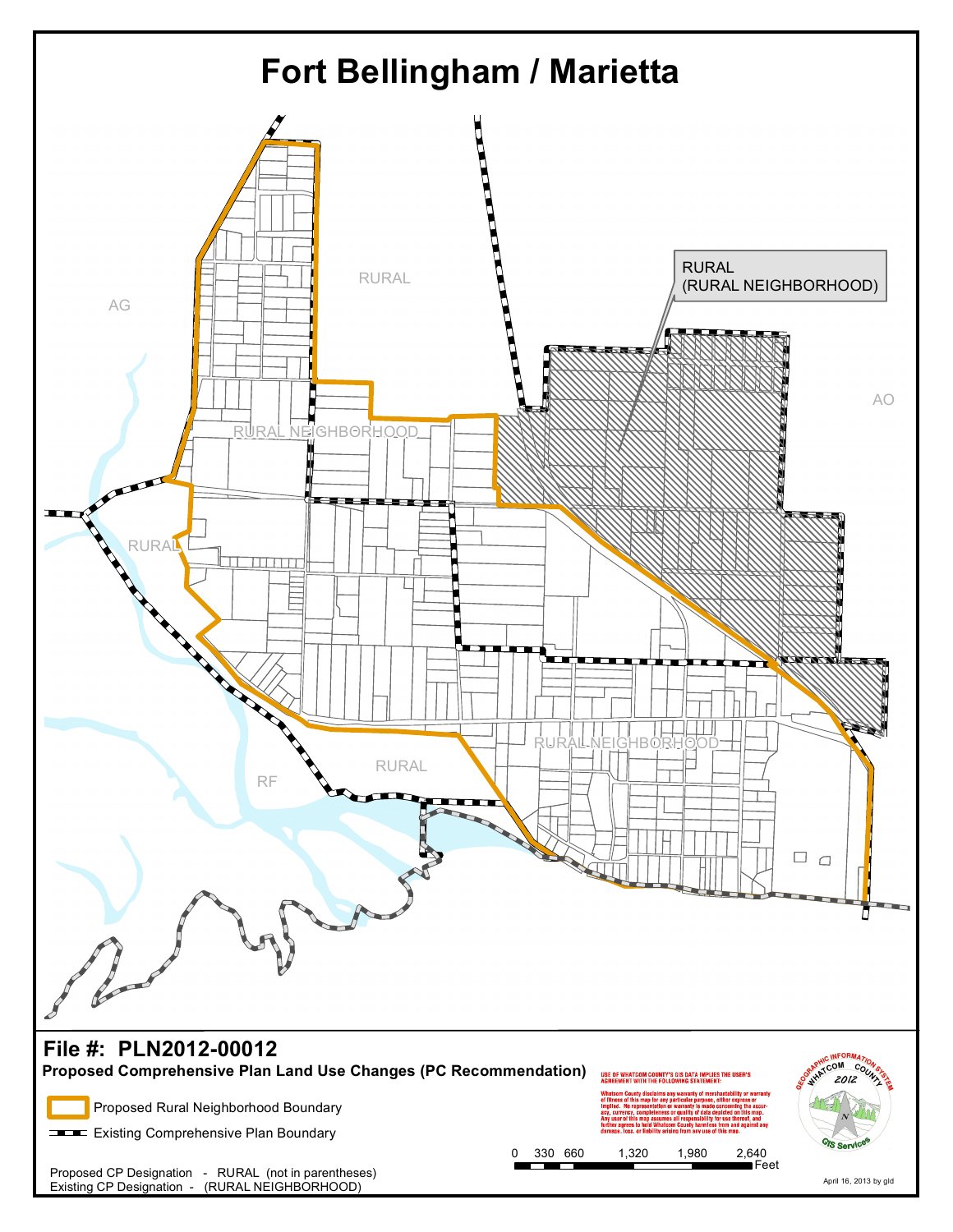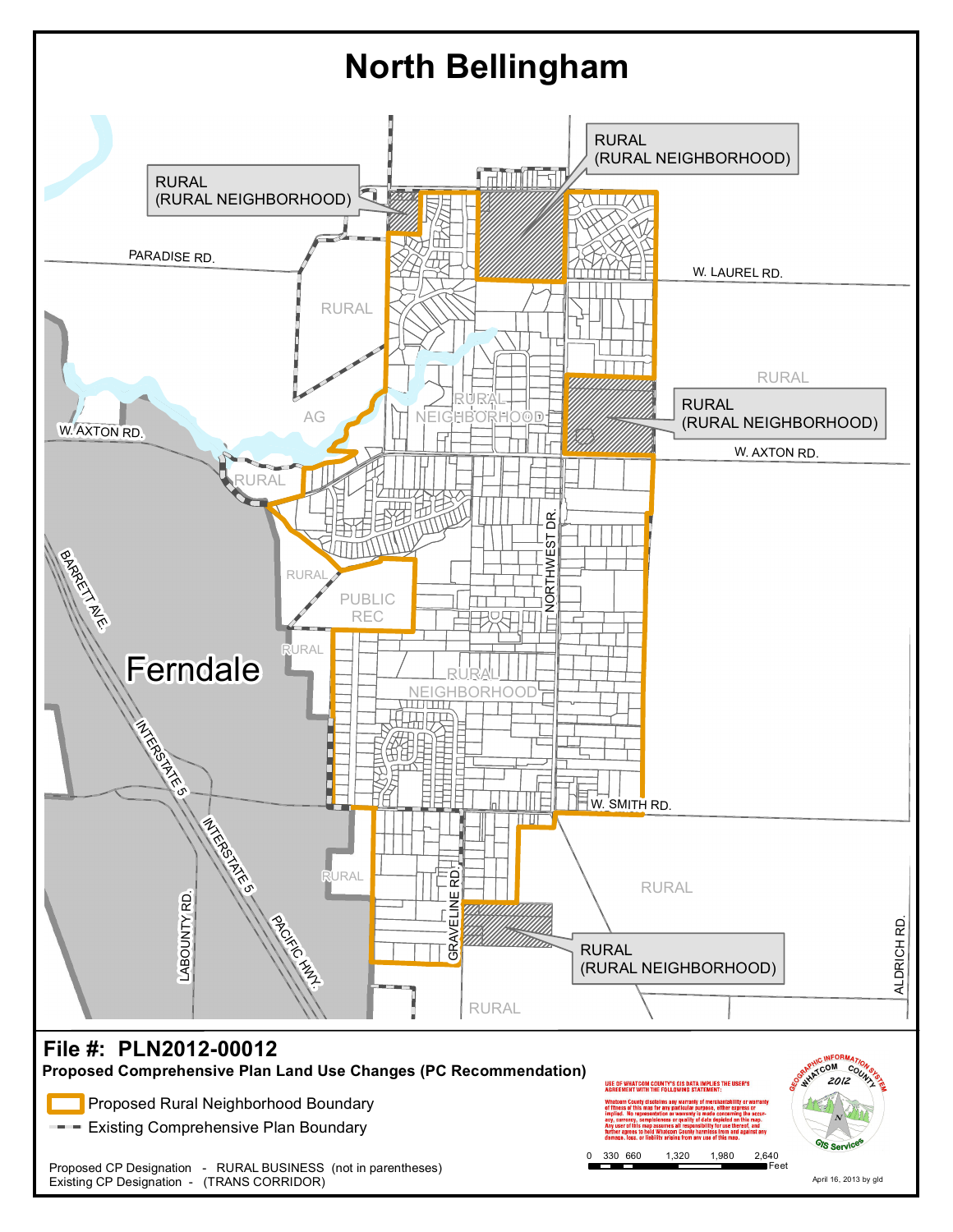